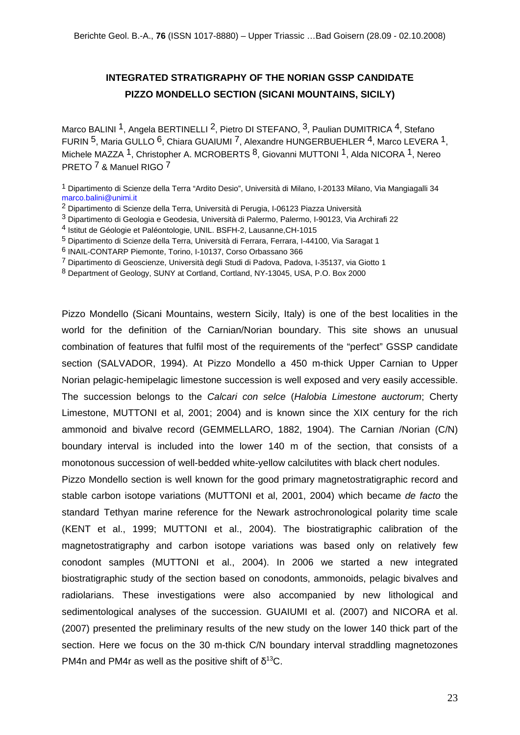## **INTEGRATED STRATIGRAPHY OF THE NORIAN GSSP CANDIDATE PIZZO MONDELLO SECTION (SICANI MOUNTAINS, SICILY)**

Marco BALINI<sup>1</sup>, Angela BERTINELLI<sup>2</sup>, Pietro DI STEFANO, <sup>3</sup>, Paulian DUMITRICA<sup>4</sup>, Stefano FURIN 5, Maria GULLO 6, Chiara GUAIUMI 7, Alexandre HUNGERBUEHLER 4, Marco LEVERA 1, Michele MAZZA <sup>1</sup>, Christopher A. MCROBERTS <sup>8</sup>, Giovanni MUTTONI <sup>1</sup>, Alda NICORA <sup>1</sup>, Nereo PRETO 7 & Manuel RIGO 7

1 Dipartimento di Scienze della Terra "Ardito Desio", Università di Milano, I-20133 Milano, Via Mangiagalli 34 marco.balini@unimi.it

- 2 Dipartimento di Scienze della Terra, Università di Perugia, I-06123 Piazza Università
- 3 Dipartimento di Geologia e Geodesia, Università di Palermo, Palermo, I-90123, Via Archirafi 22
- 4 Istitut de Géologie et Paléontologie, UNIL. BSFH-2, Lausanne,CH-1015
- 5 Dipartimento di Scienze della Terra, Università di Ferrara, Ferrara, I-44100, Via Saragat 1
- 6 INAIL-CONTARP Piemonte, Torino, I-10137, Corso Orbassano 366
- 7 Dipartimento di Geoscienze, Università degli Studi di Padova, Padova, I-35137, via Giotto 1
- 8 Department of Geology, SUNY at Cortland, Cortland, NY-13045, USA, P.O. Box 2000

Pizzo Mondello (Sicani Mountains, western Sicily, Italy) is one of the best localities in the world for the definition of the Carnian/Norian boundary. This site shows an unusual combination of features that fulfil most of the requirements of the "perfect" GSSP candidate section (SALVADOR, 1994). At Pizzo Mondello a 450 m-thick Upper Carnian to Upper Norian pelagic-hemipelagic limestone succession is well exposed and very easily accessible. The succession belongs to the *Calcari con selce* (*Halobia Limestone auctorum*; Cherty Limestone, MUTTONI et al, 2001; 2004) and is known since the XIX century for the rich ammonoid and bivalve record (GEMMELLARO, 1882, 1904). The Carnian /Norian (C/N) boundary interval is included into the lower 140 m of the section, that consists of a monotonous succession of well-bedded white-yellow calcilutites with black chert nodules.

Pizzo Mondello section is well known for the good primary magnetostratigraphic record and stable carbon isotope variations (MUTTONI et al, 2001, 2004) which became *de facto* the standard Tethyan marine reference for the Newark astrochronological polarity time scale (KENT et al., 1999; MUTTONI et al., 2004). The biostratigraphic calibration of the magnetostratigraphy and carbon isotope variations was based only on relatively few conodont samples (MUTTONI et al., 2004). In 2006 we started a new integrated biostratigraphic study of the section based on conodonts, ammonoids, pelagic bivalves and radiolarians. These investigations were also accompanied by new lithological and sedimentological analyses of the succession. GUAIUMI et al. (2007) and NICORA et al. (2007) presented the preliminary results of the new study on the lower 140 thick part of the section. Here we focus on the 30 m-thick C/N boundary interval straddling magnetozones PM4n and PM4r as well as the positive shift of  $\delta^{13}C$ .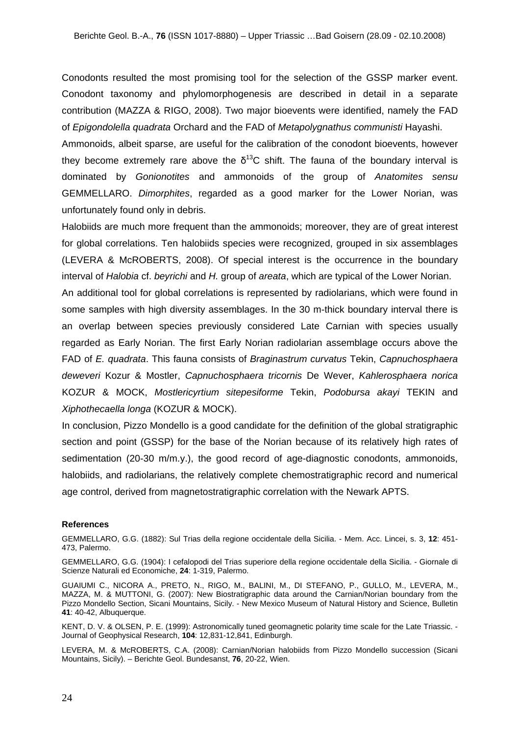Conodonts resulted the most promising tool for the selection of the GSSP marker event. Conodont taxonomy and phylomorphogenesis are described in detail in a separate contribution (MAZZA & RIGO, 2008). Two major bioevents were identified, namely the FAD of *Epigondolella quadrata* Orchard and the FAD of *Metapolygnathus communisti* Hayashi.

Ammonoids, albeit sparse, are useful for the calibration of the conodont bioevents, however they become extremely rare above the  $\delta^{13}$ C shift. The fauna of the boundary interval is dominated by *Gonionotites* and ammonoids of the group of *Anatomites sensu* GEMMELLARO. *Dimorphites*, regarded as a good marker for the Lower Norian, was unfortunately found only in debris.

Halobiids are much more frequent than the ammonoids; moreover, they are of great interest for global correlations. Ten halobiids species were recognized, grouped in six assemblages (LEVERA & McROBERTS, 2008). Of special interest is the occurrence in the boundary interval of *Halobia* cf. *beyrichi* and *H.* group of *areata*, which are typical of the Lower Norian.

An additional tool for global correlations is represented by radiolarians, which were found in some samples with high diversity assemblages. In the 30 m-thick boundary interval there is an overlap between species previously considered Late Carnian with species usually regarded as Early Norian. The first Early Norian radiolarian assemblage occurs above the FAD of *E. quadrata*. This fauna consists of *Braginastrum curvatus* Tekin, *Capnuchosphaera deweveri* Kozur & Mostler, *Capnuchosphaera tricornis* De Wever, *Kahlerosphaera norica*  KOZUR & MOCK, *Mostlericyrtium sitepesiforme* Tekin, *Podobursa akayi* TEKIN and *Xiphothecaella longa* (KOZUR & MOCK).

In conclusion, Pizzo Mondello is a good candidate for the definition of the global stratigraphic section and point (GSSP) for the base of the Norian because of its relatively high rates of sedimentation (20-30 m/m.y.), the good record of age-diagnostic conodonts, ammonoids, halobiids, and radiolarians, the relatively complete chemostratigraphic record and numerical age control, derived from magnetostratigraphic correlation with the Newark APTS.

## **References**

GEMMELLARO, G.G. (1882): Sul Trias della regione occidentale della Sicilia. - Mem. Acc. Lincei, s. 3, **12**: 451- 473, Palermo.

GEMMELLARO, G.G. (1904): I cefalopodi del Trias superiore della regione occidentale della Sicilia. - Giornale di Scienze Naturali ed Economiche, **24**: 1-319, Palermo.

GUAIUMI C., NICORA A., PRETO, N., RIGO, M., BALINI, M., DI STEFANO, P., GULLO, M., LEVERA, M., MAZZA, M. & MUTTONI, G. (2007): New Biostratigraphic data around the Carnian/Norian boundary from the Pizzo Mondello Section, Sicani Mountains, Sicily. - New Mexico Museum of Natural History and Science, Bulletin **41**: 40-42, Albuquerque.

KENT, D. V. & OLSEN, P. E. (1999): Astronomically tuned geomagnetic polarity time scale for the Late Triassic. - Journal of Geophysical Research, **104**: 12,831-12,841, Edinburgh.

LEVERA, M. & McROBERTS, C.A. (2008): Carnian/Norian halobiids from Pizzo Mondello succession (Sicani Mountains, Sicily). – Berichte Geol. Bundesanst, **76**, 20-22, Wien.